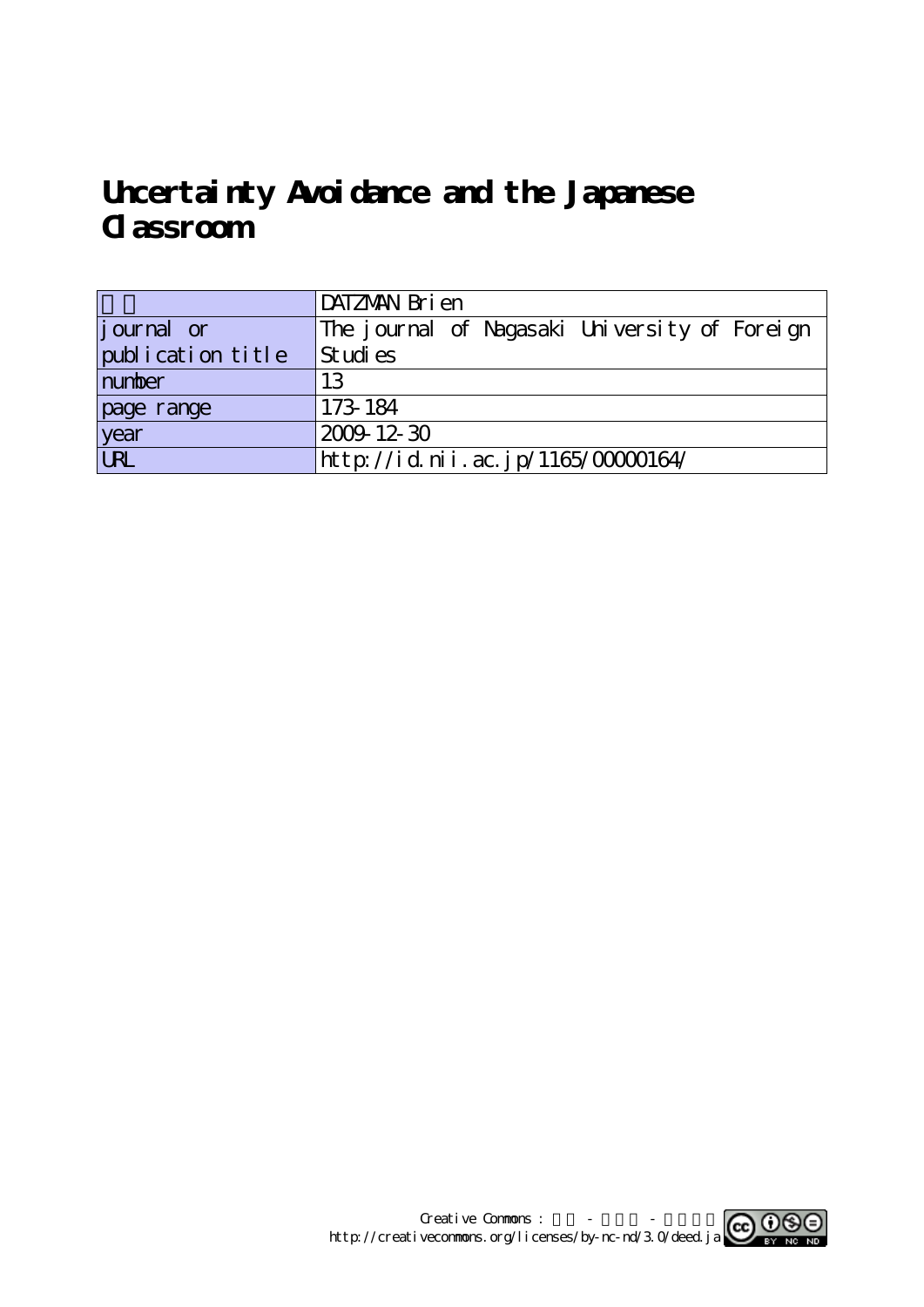# **Uncertainty Avoidance and the Japanese Classroom**

|                    | DATZMAN Bri en                                |
|--------------------|-----------------------------------------------|
| <i>j</i> ournal or | The journal of Nagasaki University of Foreign |
| publication title  | Studies                                       |
| number             | 13                                            |
| page range         | 173-184                                       |
| year<br>URL        | $2009 - 12 - 30$                              |
|                    | http://id.nii.ac.jp/1165/00000164/            |

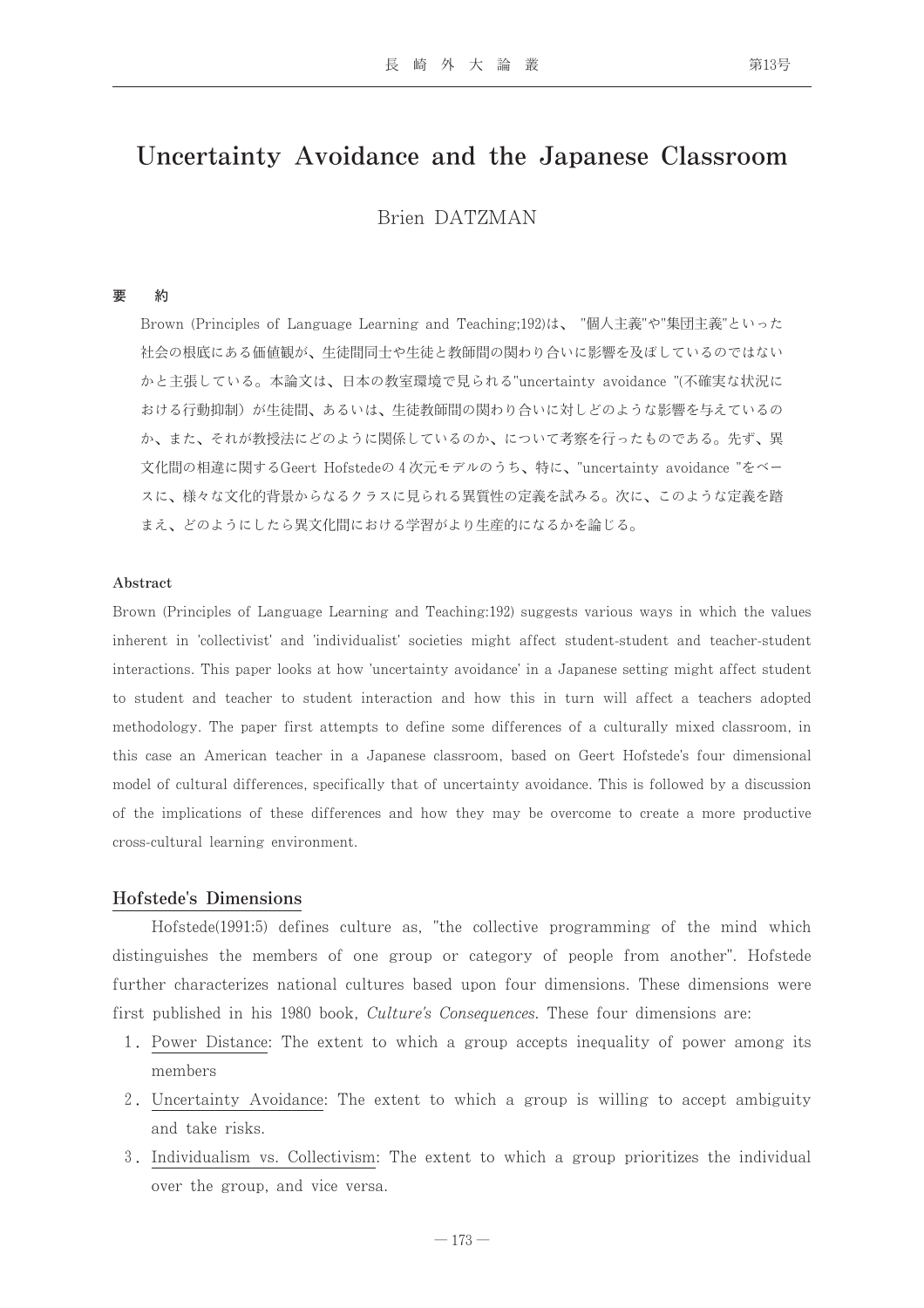## Uncertainty Avoidance and the Japanese Classroom

Brien DATZMAN

#### 要 約

Brown (Principles of Language Learning and Teaching;192)は、 "個人主義"や"集団主義"といった 社会の根底にある価値観が、生徒間同士や生徒と教師間の関わり合いに影響を及ぼしているのではない かと主張している。本論文は、日本の教室環境で見られる"uncertainty avoidance "(不確実な状況に おける行動抑制)が生徒間、あるいは、生徒教師間の関わり合いに対しどのような影響を与えているの か、また、それが教授法にどのように関係しているのか、について考察を行ったものである。先ず、異 文化間の相違に関するGeert Hofstedeの4次元モデルのうち、特に、"uncertainty avoidance "をベー スに、様々な文化的背景からなるクラスに見られる異質性の定義を試みる。次に、このような定義を踏 まえ、どのようにしたら異文化間における学習がより生産的になるかを論じる。

#### Abstract

Brown (Principles of Language Learning and Teaching:192) suggests various ways in which the values inherent in 'collectivist' and 'individualist' societies might affect student-student and teacher-student interactions. This paper looks at how 'uncertainty avoidance' in a Japanese setting might affect student to student and teacher to student interaction and how this in turn will affect a teachers adopted methodology. The paper first attempts to define some differences of a culturally mixed classroom, in this case an American teacher in a Japanese classroom, based on Geert Hofstede's four dimensional model of cultural differences, specifically that of uncertainty avoidance. This is followed by a discussion of the implications of these differences and how they may be overcome to create a more productive cross-cultural learning environment.

#### Hofstede's Dimensions

Hofstede(1991:5) defines culture as, "the collective programming of the mind which distinguishes the members of one group or category of people from another". Hofstede further characterizes national cultures based upon four dimensions. These dimensions were first published in his 1980 book, *Culture's Consequences*. These four dimensions are:

- 1. Power Distance: The extent to which a group accepts inequality of power among its members
- 2. Uncertainty Avoidance: The extent to which a group is willing to accept ambiguity and take risks.
- 3. Individualism vs. Collectivism: The extent to which a group prioritizes the individual over the group, and vice versa.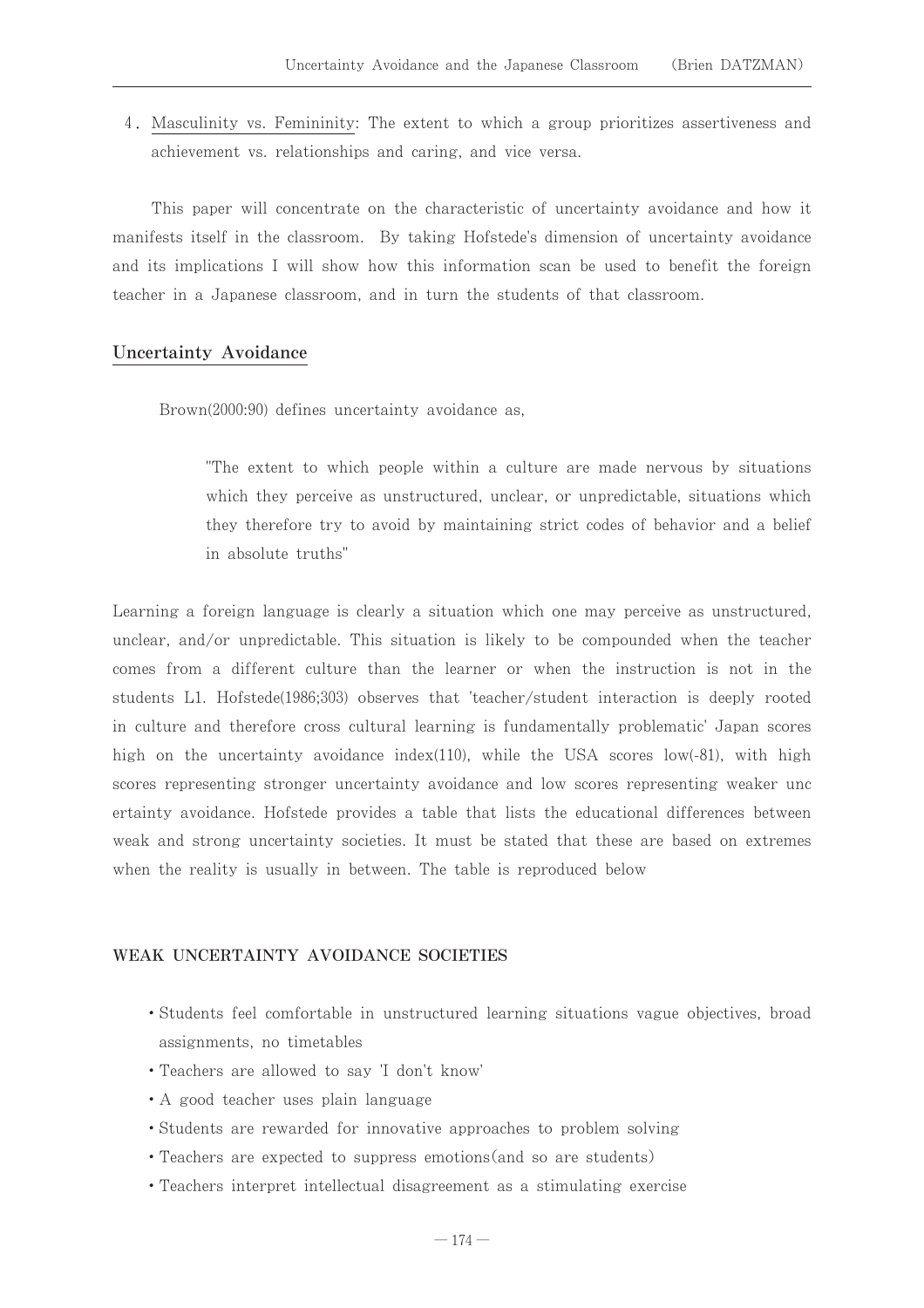4. Masculinity vs. Femininity: The extent to which a group prioritizes assertiveness and achievement vs. relationships and caring, and vice versa.

This paper will concentrate on the characteristic of uncertainty avoidance and how it manifests itself in the classroom. By taking Hofstede's dimension of uncertainty avoidance and its implications I will show how this information scan be used to benefit the foreign teacher in a Japanese classroom, and in turn the students of that classroom.

#### **Uncertainty Avoidance**

Brown(2000:90) defines uncertainty avoidance as,

The extent to which people within a culture are made nervous by situations which they perceive as unstructured, unclear, or unpredictable, situations which they therefore try to avoid by maintaining strict codes of behavior and a belief in absolute truths"

Learning a foreign language is clearly a situation which one may perceive as unstructured, unclear, and/or unpredictable. This situation is likely to be compounded when the teacher comes from a different culture than the learner or when the instruction is not in the students L1. Hofstede(1986;303) observes that 'teacher/student interaction is deeply rooted in culture and therefore cross cultural learning is fundamentally problematic' Japan scores high on the uncertainty avoidance index(110), while the USA scores low(-81), with high scores representing stronger uncertainty avoidance and low scores representing weaker unc ertainty avoidance. Hofstede provides a table that lists the educational differences between weak and strong uncertainty societies. It must be stated that these are based on extremes when the reality is usually in between. The table is reproduced below

#### WEAK UNCERTAINTY AVOIDANCE SOCIETIES

- Students feel comfortable in unstructured learning situations vague objectives, broad assignments, no timetables
- Teachers are allowed to say 'I don't know'
- A good teacher uses plain language
- Students are rewarded for innovative approaches to problem solving
- Teachers are expected to suppress emotions (and so are students)
- Teachers interpret intellectual disagreement as a stimulating exercise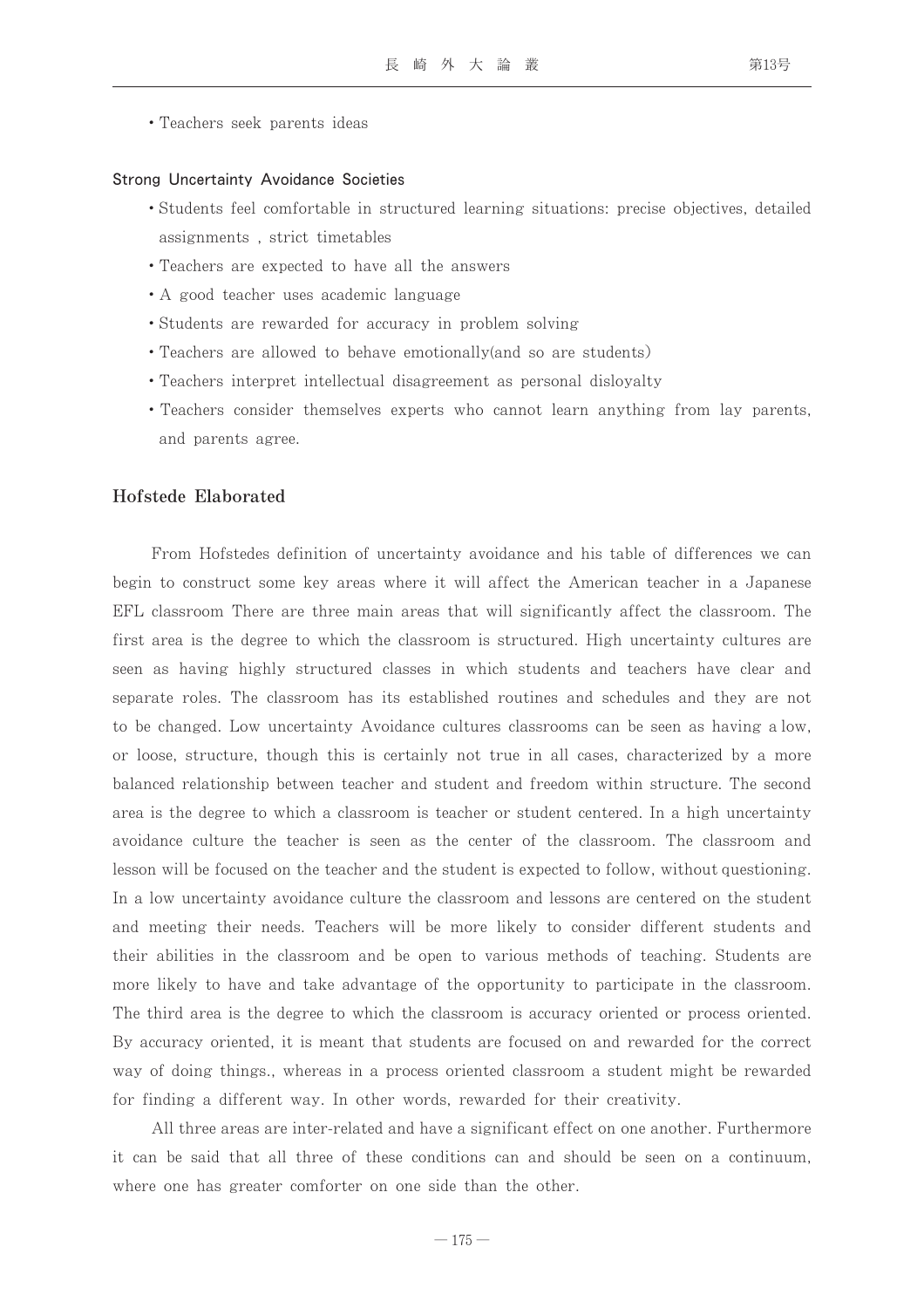• Teachers seek parents ideas

#### Strong Uncertainty Avoidance Societies

- Students feel comfortable in structured learning situations: precise objectives, detailed assignments, strict timetables
- Teachers are expected to have all the answers
- A good teacher uses academic language
- Students are rewarded for accuracy in problem solving
- Teachers are allowed to behave emotionally (and so are students)
- Teachers interpret intellectual disagreement as personal disloyalty
- Teachers consider themselves experts who cannot learn anything from lay parents, and parents agree.

#### Hofstede Elaborated

From Hofstedes definition of uncertainty avoidance and his table of differences we can begin to construct some key areas where it will affect the American teacher in a Japanese EFL classroom There are three main areas that will significantly affect the classroom. The first area is the degree to which the classroom is structured. High uncertainty cultures are seen as having highly structured classes in which students and teachers have clear and separate roles. The classroom has its established routines and schedules and they are not to be changed. Low uncertainty Avoidance cultures classrooms can be seen as having a low. or loose, structure, though this is certainly not true in all cases, characterized by a more balanced relationship between teacher and student and freedom within structure. The second area is the degree to which a classroom is teacher or student centered. In a high uncertainty avoidance culture the teacher is seen as the center of the classroom. The classroom and lesson will be focused on the teacher and the student is expected to follow, without questioning. In a low uncertainty avoidance culture the classroom and lessons are centered on the student and meeting their needs. Teachers will be more likely to consider different students and their abilities in the classroom and be open to various methods of teaching. Students are more likely to have and take advantage of the opportunity to participate in the classroom. The third area is the degree to which the classroom is accuracy oriented or process oriented. By accuracy oriented, it is meant that students are focused on and rewarded for the correct way of doing things, whereas in a process oriented classroom a student might be rewarded for finding a different way. In other words, rewarded for their creativity.

All three areas are inter-related and have a significant effect on one another. Furthermore it can be said that all three of these conditions can and should be seen on a continuum, where one has greater comforter on one side than the other.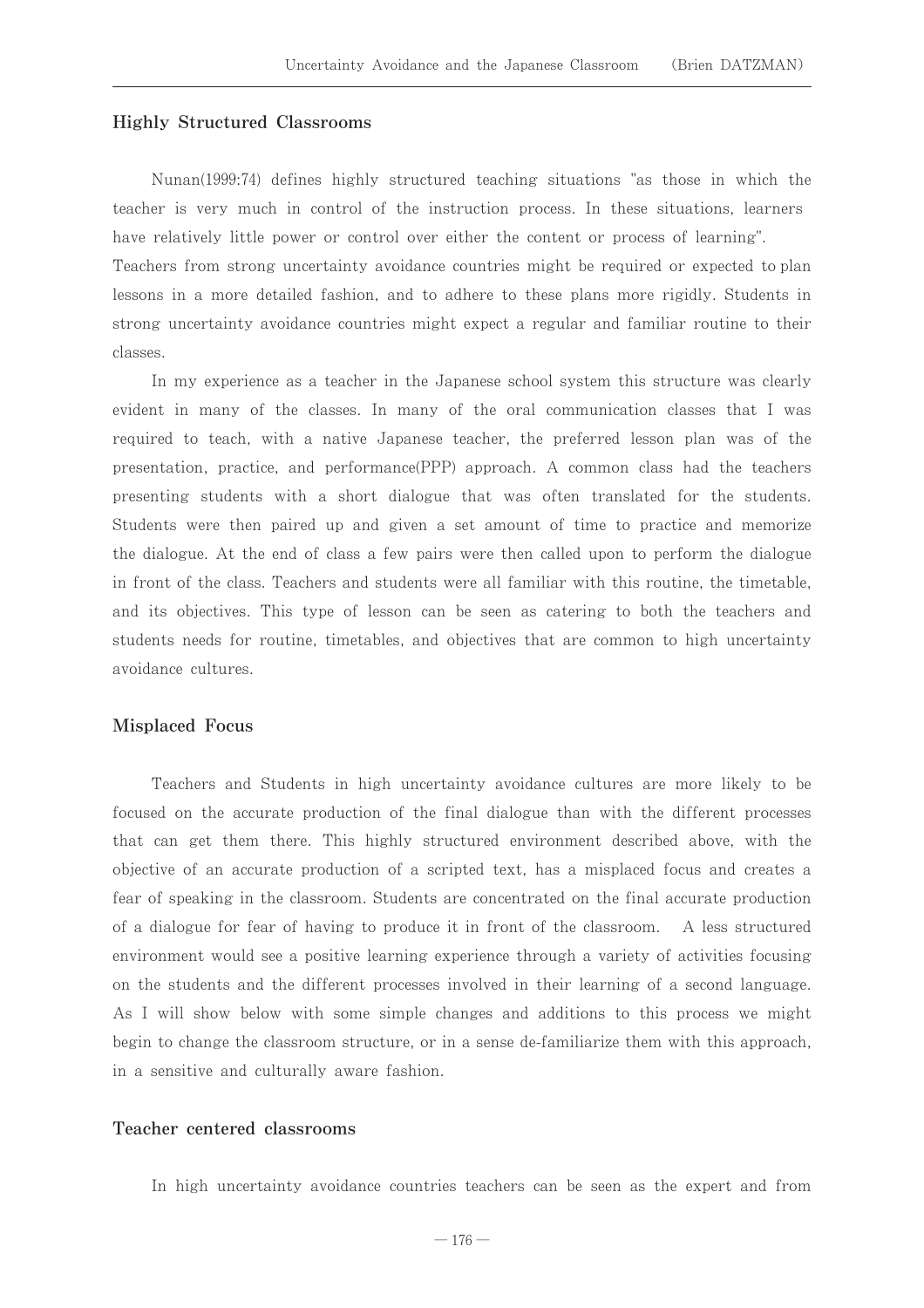#### **Highly Structured Classrooms**

Nunan(1999:74) defines highly structured teaching situations "as those in which the teacher is very much in control of the instruction process. In these situations, learners have relatively little power or control over either the content or process of learning". Teachers from strong uncertainty avoidance countries might be required or expected to plan lessons in a more detailed fashion, and to adhere to these plans more rigidly. Students in strong uncertainty avoidance countries might expect a regular and familiar routine to their classes.

In my experience as a teacher in the Japanese school system this structure was clearly evident in many of the classes. In many of the oral communication classes that I was required to teach, with a native Japanese teacher, the preferred lesson plan was of the presentation, practice, and performance (PPP) approach. A common class had the teachers presenting students with a short dialogue that was often translated for the students. Students were then paired up and given a set amount of time to practice and memorize the dialogue. At the end of class a few pairs were then called upon to perform the dialogue in front of the class. Teachers and students were all familiar with this routine, the timetable, and its objectives. This type of lesson can be seen as catering to both the teachers and students needs for routine, timetables, and objectives that are common to high uncertainty avoidance cultures.

#### **Misplaced Focus**

Teachers and Students in high uncertainty avoidance cultures are more likely to be focused on the accurate production of the final dialogue than with the different processes that can get them there. This highly structured environment described above, with the objective of an accurate production of a scripted text, has a misplaced focus and creates a fear of speaking in the classroom. Students are concentrated on the final accurate production of a dialogue for fear of having to produce it in front of the classroom. A less structured environment would see a positive learning experience through a variety of activities focusing on the students and the different processes involved in their learning of a second language. As I will show below with some simple changes and additions to this process we might begin to change the classroom structure, or in a sense de-familiarize them with this approach, in a sensitive and culturally aware fashion.

#### Teacher centered classrooms

In high uncertainty avoidance countries teachers can be seen as the expert and from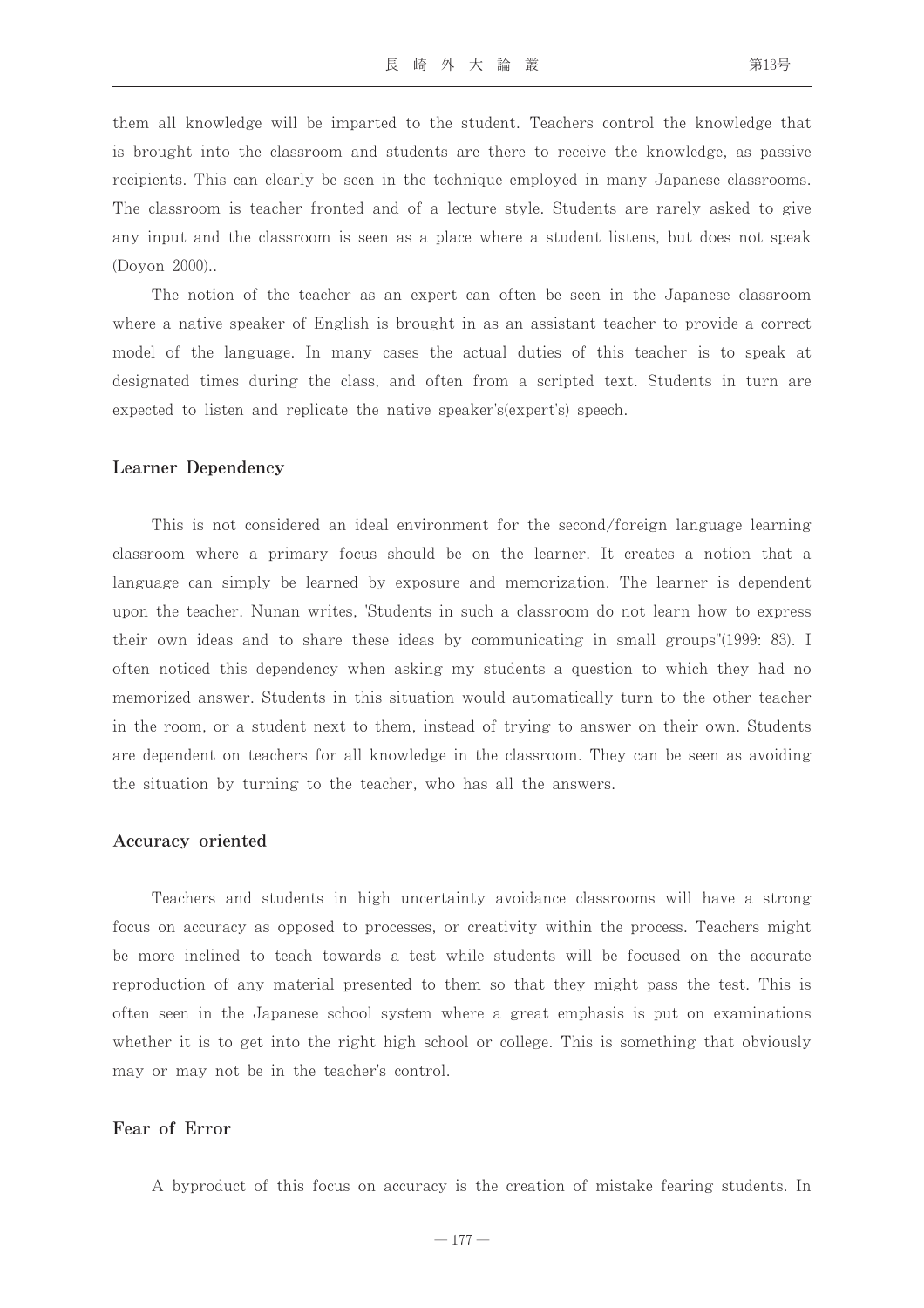them all knowledge will be imparted to the student. Teachers control the knowledge that is brought into the classroom and students are there to receive the knowledge, as passive recipients. This can clearly be seen in the technique employed in many Japanese classrooms. The classroom is teacher fronted and of a lecture style. Students are rarely asked to give any input and the classroom is seen as a place where a student listens, but does not speak  $(Dovon 2000)$ .

The notion of the teacher as an expert can often be seen in the Japanese classroom where a native speaker of English is brought in as an assistant teacher to provide a correct model of the language. In many cases the actual duties of this teacher is to speak at designated times during the class, and often from a scripted text. Students in turn are expected to listen and replicate the native speaker's (expert's) speech.

#### **Learner Dependency**

This is not considered an ideal environment for the second/foreign language learning classroom where a primary focus should be on the learner. It creates a notion that a language can simply be learned by exposure and memorization. The learner is dependent upon the teacher. Nunan writes, 'Students in such a classroom do not learn how to express their own ideas and to share these ideas by communicating in small groups"(1999: 83). I often noticed this dependency when asking my students a question to which they had no memorized answer. Students in this situation would automatically turn to the other teacher in the room, or a student next to them, instead of trying to answer on their own. Students are dependent on teachers for all knowledge in the classroom. They can be seen as avoiding the situation by turning to the teacher, who has all the answers.

#### Accuracy oriented

Teachers and students in high uncertainty avoidance classrooms will have a strong focus on accuracy as opposed to processes, or creativity within the process. Teachers might be more inclined to teach towards a test while students will be focused on the accurate reproduction of any material presented to them so that they might pass the test. This is often seen in the Japanese school system where a great emphasis is put on examinations whether it is to get into the right high school or college. This is something that obviously may or may not be in the teacher's control.

#### Fear of Error

A byproduct of this focus on accuracy is the creation of mistake fearing students. In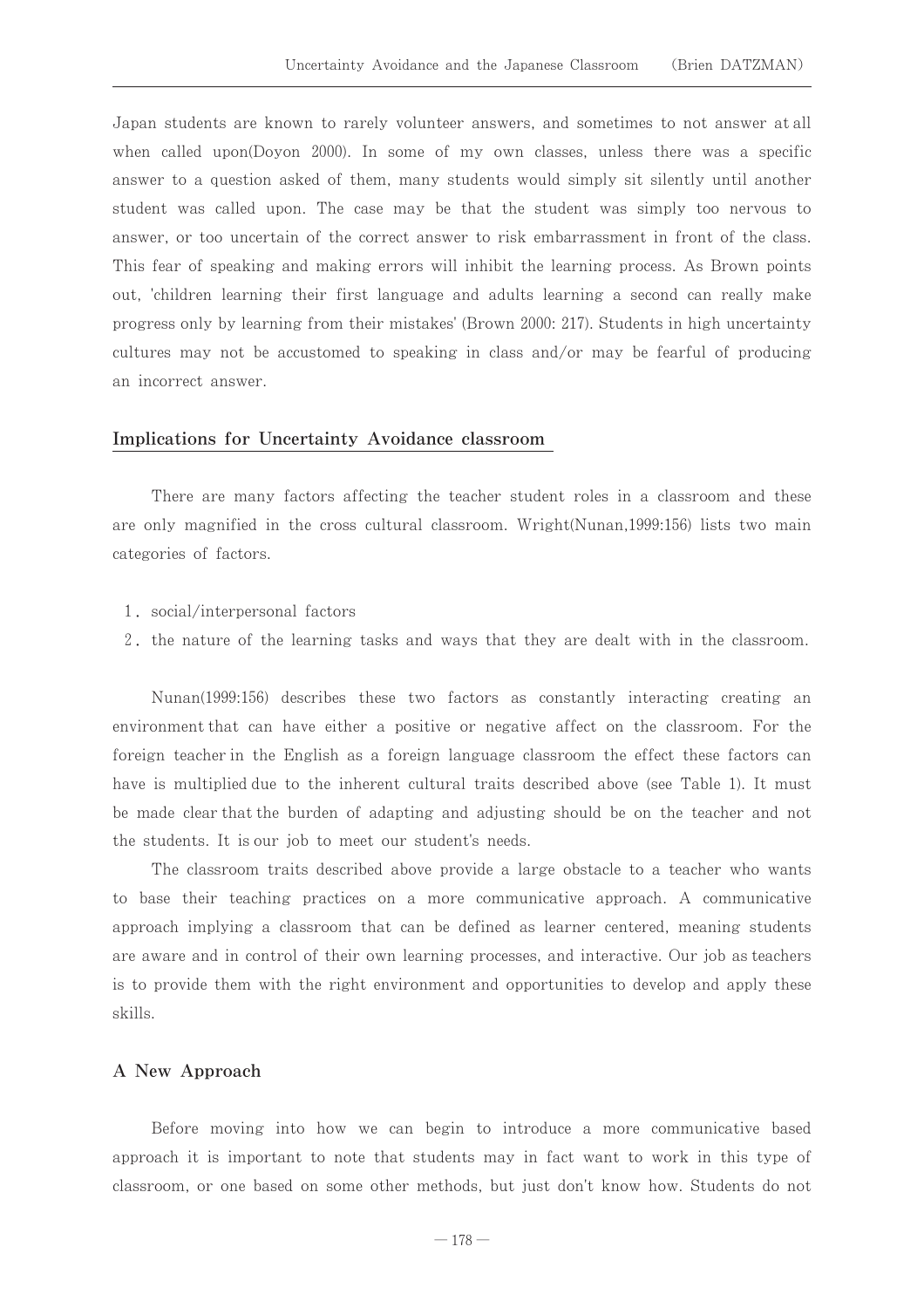Japan students are known to rarely volunteer answers, and sometimes to not answer at all when called upon(Doyon 2000). In some of my own classes, unless there was a specific answer to a question asked of them, many students would simply sit silently until another student was called upon. The case may be that the student was simply too nervous to answer, or too uncertain of the correct answer to risk embarrassment in front of the class. This fear of speaking and making errors will inhibit the learning process. As Brown points out, 'children learning their first language and adults learning a second can really make progress only by learning from their mistakes' (Brown 2000: 217). Students in high uncertainty cultures may not be accustomed to speaking in class and/or may be fearful of producing an incorrect answer.

#### Implications for Uncertainty Avoidance classroom

There are many factors affecting the teacher student roles in a classroom and these are only magnified in the cross cultural classroom. Wright (Nunan, 1999:156) lists two main categories of factors.

- 1. social/interpersonal factors
- 2, the nature of the learning tasks and ways that they are dealt with in the classroom.

Nunan(1999:156) describes these two factors as constantly interacting creating an environment that can have either a positive or negative affect on the classroom. For the foreign teacher in the English as a foreign language classroom the effect these factors can have is multiplied due to the inherent cultural traits described above (see Table 1). It must be made clear that the burden of adapting and adjusting should be on the teacher and not the students. It is our job to meet our student's needs.

The classroom traits described above provide a large obstacle to a teacher who wants to base their teaching practices on a more communicative approach. A communicative approach implying a classroom that can be defined as learner centered, meaning students are aware and in control of their own learning processes, and interactive. Our job as teachers is to provide them with the right environment and opportunities to develop and apply these skills.

#### A New Approach

Before moving into how we can begin to introduce a more communicative based approach it is important to note that students may in fact want to work in this type of classroom, or one based on some other methods, but just don't know how. Students do not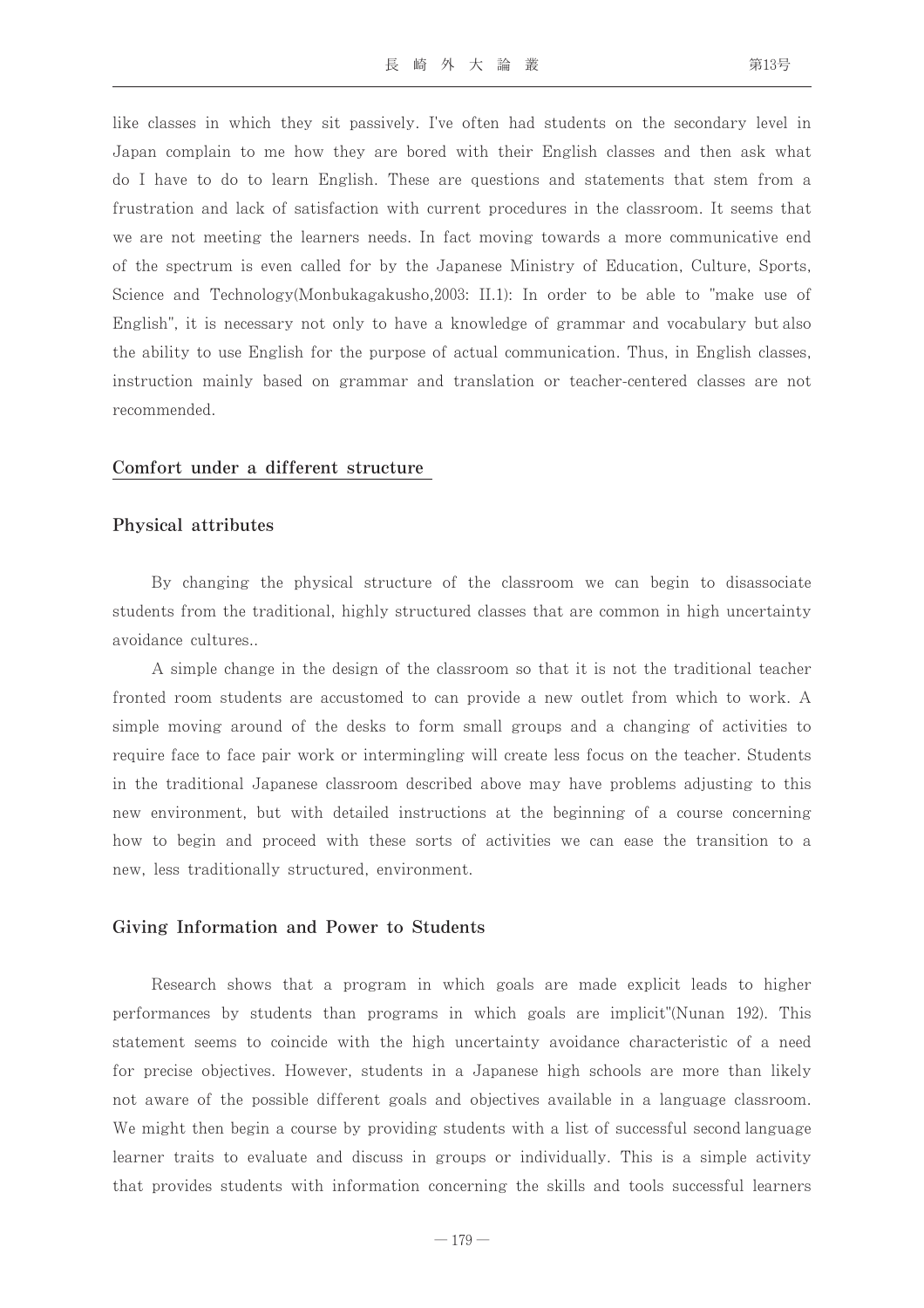like classes in which they sit passively. I've often had students on the secondary level in Japan complain to me how they are bored with their English classes and then ask what do I have to do to learn English. These are questions and statements that stem from a frustration and lack of satisfaction with current procedures in the classroom. It seems that we are not meeting the learners needs. In fact moving towards a more communicative end of the spectrum is even called for by the Japanese Ministry of Education, Culture, Sports, Science and Technology(Monbukagakusho, 2003: II.1): In order to be able to "make use of English", it is necessary not only to have a knowledge of grammar and vocabulary but also the ability to use English for the purpose of actual communication. Thus, in English classes, instruction mainly based on grammar and translation or teacher-centered classes are not recommended.

#### Comfort under a different structure

#### Physical attributes

By changing the physical structure of the classroom we can begin to disassociate students from the traditional, highly structured classes that are common in high uncertainty avoidance cultures...

A simple change in the design of the classroom so that it is not the traditional teacher fronted room students are accustomed to can provide a new outlet from which to work. A simple moving around of the desks to form small groups and a changing of activities to require face to face pair work or intermingling will create less focus on the teacher. Students in the traditional Japanese classroom described above may have problems adjusting to this new environment, but with detailed instructions at the beginning of a course concerning how to begin and proceed with these sorts of activities we can ease the transition to a new, less traditionally structured, environment.

#### Giving Information and Power to Students

Research shows that a program in which goals are made explicit leads to higher performances by students than programs in which goals are implicit"(Nunan 192). This statement seems to coincide with the high uncertainty avoidance characteristic of a need for precise objectives. However, students in a Japanese high schools are more than likely not aware of the possible different goals and objectives available in a language classroom. We might then begin a course by providing students with a list of successful second language learner traits to evaluate and discuss in groups or individually. This is a simple activity that provides students with information concerning the skills and tools successful learners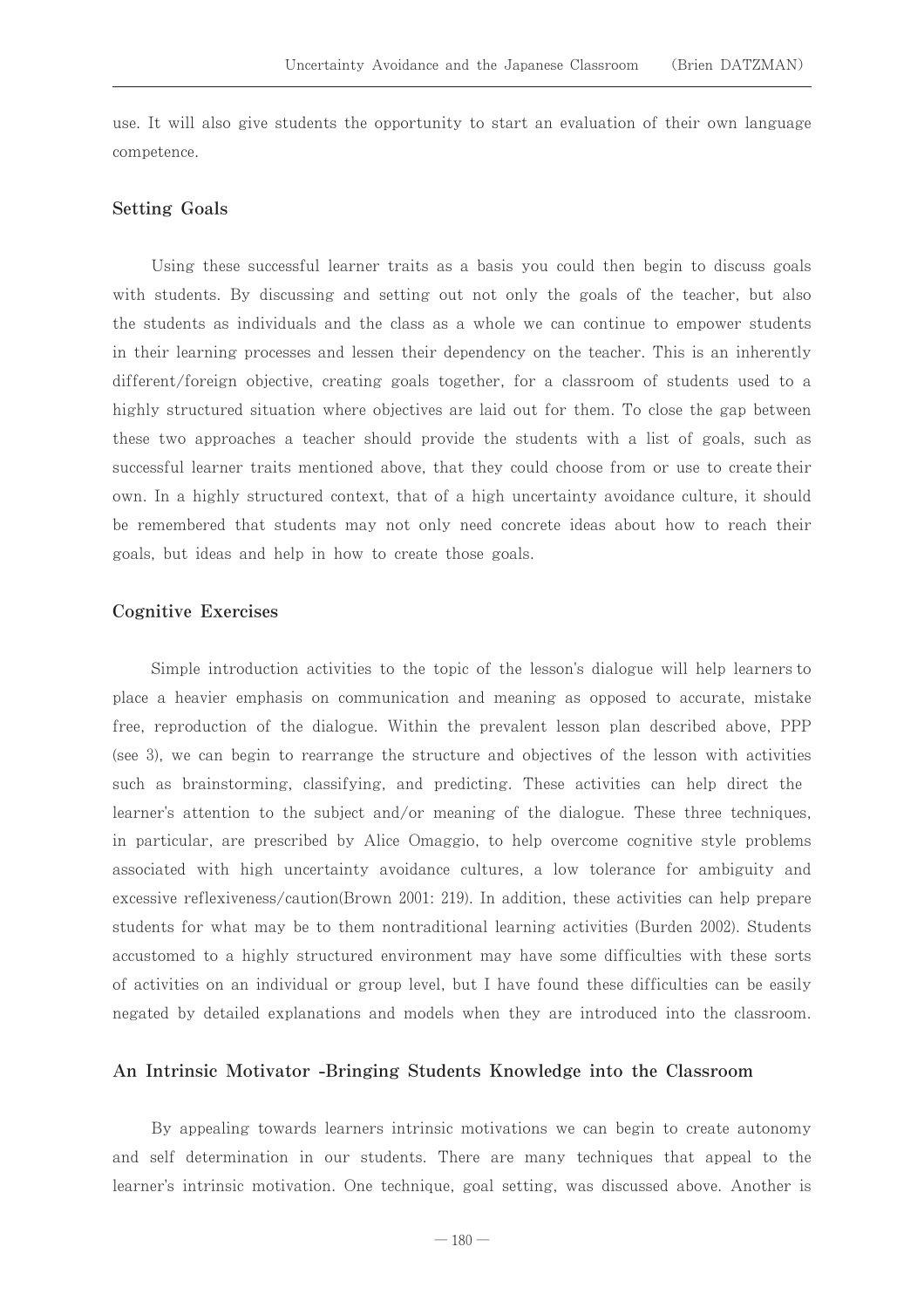use. It will also give students the opportunity to start an evaluation of their own language competence.

#### **Setting Goals**

Using these successful learner traits as a basis you could then begin to discuss goals with students. By discussing and setting out not only the goals of the teacher, but also the students as individuals and the class as a whole we can continue to empower students in their learning processes and lessen their dependency on the teacher. This is an inherently different/foreign objective, creating goals together, for a classroom of students used to a highly structured situation where objectives are laid out for them. To close the gap between these two approaches a teacher should provide the students with a list of goals, such as successful learner traits mentioned above, that they could choose from or use to create their own. In a highly structured context, that of a high uncertainty avoidance culture, it should be remembered that students may not only need concrete ideas about how to reach their goals, but ideas and help in how to create those goals.

### **Cognitive Exercises**

Simple introduction activities to the topic of the lesson's dialogue will help learners to place a heavier emphasis on communication and meaning as opposed to accurate, mistake free, reproduction of the dialogue. Within the prevalent lesson plan described above, PPP (see 3), we can begin to rearrange the structure and objectives of the lesson with activities such as brainstorming, classifying, and predicting. These activities can help direct the learner's attention to the subject and/or meaning of the dialogue. These three techniques, in particular, are prescribed by Alice Omaggio, to help overcome cognitive style problems associated with high uncertainty avoidance cultures, a low tolerance for ambiguity and excessive reflexiveness/caution(Brown 2001: 219). In addition, these activities can help prepare students for what may be to them nontraditional learning activities (Burden 2002). Students accustomed to a highly structured environment may have some difficulties with these sorts of activities on an individual or group level, but I have found these difficulties can be easily negated by detailed explanations and models when they are introduced into the classroom.

#### An Intrinsic Motivator -Bringing Students Knowledge into the Classroom

By appealing towards learners intrinsic motivations we can begin to create autonomy and self determination in our students. There are many techniques that appeal to the learner's intrinsic motivation. One technique, goal setting, was discussed above. Another is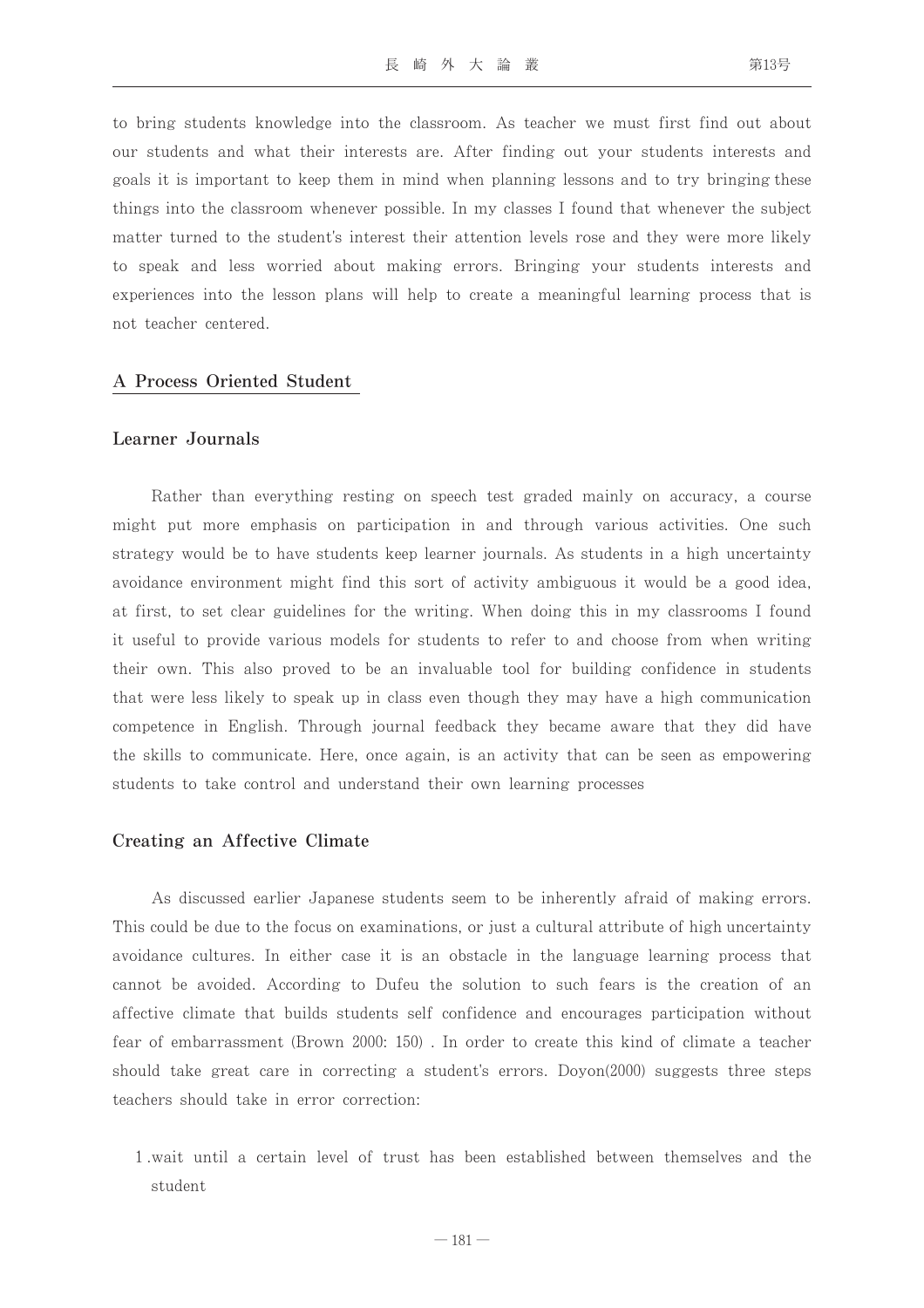to bring students knowledge into the classroom. As teacher we must first find out about our students and what their interests are. After finding out your students interests and goals it is important to keep them in mind when planning lessons and to try bringing these things into the classroom whenever possible. In my classes I found that whenever the subject matter turned to the student's interest their attention levels rose and they were more likely to speak and less worried about making errors. Bringing your students interests and experiences into the lesson plans will help to create a meaningful learning process that is not teacher centered.

#### A Process Oriented Student

#### Learner Journals

Rather than everything resting on speech test graded mainly on accuracy, a course might put more emphasis on participation in and through various activities. One such strategy would be to have students keep learner journals. As students in a high uncertainty avoidance environment might find this sort of activity ambiguous it would be a good idea, at first, to set clear guidelines for the writing. When doing this in my classrooms I found it useful to provide various models for students to refer to and choose from when writing their own. This also proved to be an invaluable tool for building confidence in students that were less likely to speak up in class even though they may have a high communication competence in English. Through journal feedback they became aware that they did have the skills to communicate. Here, once again, is an activity that can be seen as empowering students to take control and understand their own learning processes

#### Creating an Affective Climate

As discussed earlier Japanese students seem to be inherently afraid of making errors. This could be due to the focus on examinations, or just a cultural attribute of high uncertainty avoidance cultures. In either case it is an obstacle in the language learning process that cannot be avoided. According to Dufeu the solution to such fears is the creation of an affective climate that builds students self confidence and encourages participation without fear of embarrassment (Brown 2000: 150). In order to create this kind of climate a teacher should take great care in correcting a student's errors. Doyon(2000) suggests three steps teachers should take in error correction:

1 wait until a certain level of trust has been established between themselves and the student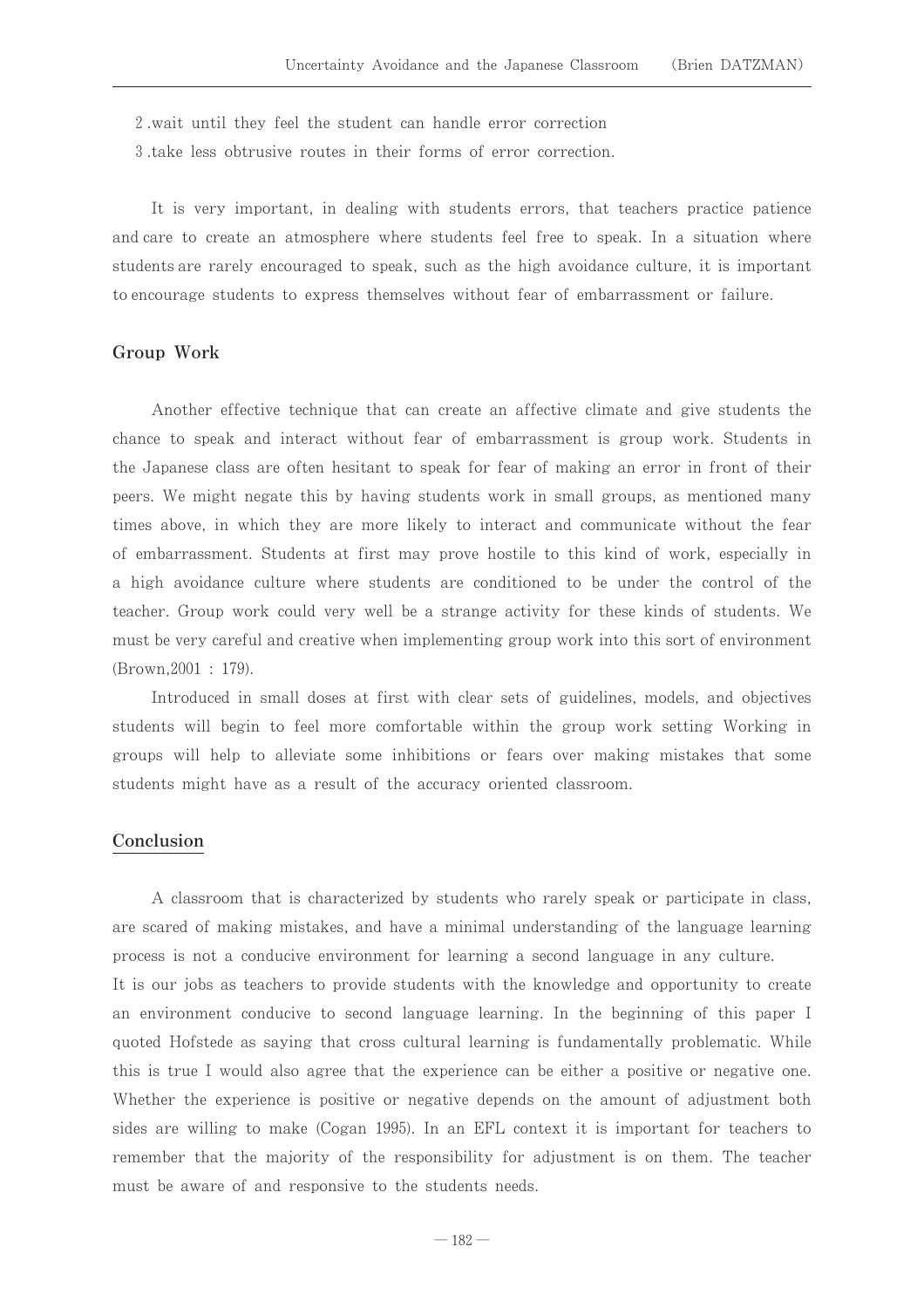2 wait until they feel the student can handle error correction

3 take less obtrusive routes in their forms of error correction.

It is very important, in dealing with students errors, that teachers practice patience and care to create an atmosphere where students feel free to speak. In a situation where students are rarely encouraged to speak, such as the high avoidance culture, it is important to encourage students to express themselves without fear of embarrassment or failure.

#### Group Work

Another effective technique that can create an affective climate and give students the chance to speak and interact without fear of embarrassment is group work. Students in the Japanese class are often hesitant to speak for fear of making an error in front of their peers. We might negate this by having students work in small groups, as mentioned many times above, in which they are more likely to interact and communicate without the fear of embarrassment. Students at first may prove hostile to this kind of work, especially in a high avoidance culture where students are conditioned to be under the control of the teacher. Group work could very well be a strange activity for these kinds of students. We must be very careful and creative when implementing group work into this sort of environment (Brown, 2001: 179).

Introduced in small doses at first with clear sets of guidelines, models, and objectives students will begin to feel more comfortable within the group work setting Working in groups will help to alleviate some inhibitions or fears over making mistakes that some students might have as a result of the accuracy oriented classroom.

#### Conclusion

A classroom that is characterized by students who rarely speak or participate in class. are scared of making mistakes, and have a minimal understanding of the language learning process is not a conducive environment for learning a second language in any culture. It is our jobs as teachers to provide students with the knowledge and opportunity to create an environment conducive to second language learning. In the beginning of this paper I quoted Hofstede as saying that cross cultural learning is fundamentally problematic. While this is true I would also agree that the experience can be either a positive or negative one. Whether the experience is positive or negative depends on the amount of adjustment both sides are willing to make (Cogan 1995). In an EFL context it is important for teachers to remember that the majority of the responsibility for adjustment is on them. The teacher must be aware of and responsive to the students needs.